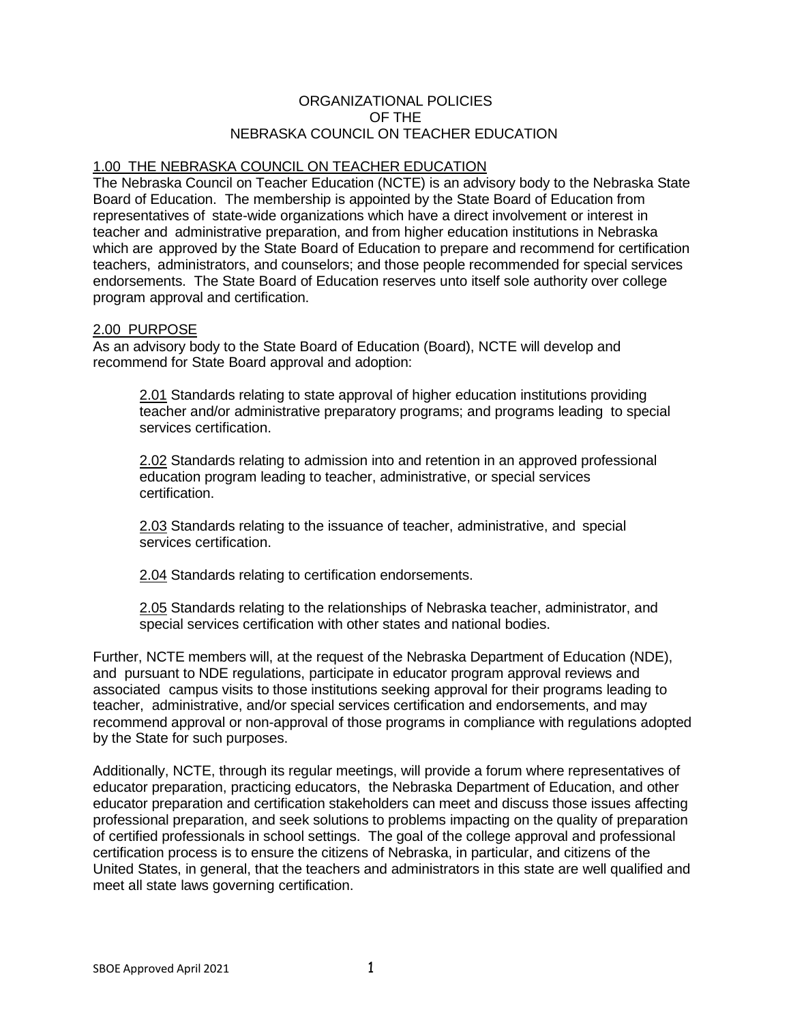### ORGANIZATIONAL POLICIES OF THE NEBRASKA COUNCIL ON TEACHER EDUCATION

# 1.00 THE NEBRASKA COUNCIL ON TEACHER EDUCATION

The Nebraska Council on Teacher Education (NCTE) is an advisory body to the Nebraska State Board of Education. The membership is appointed by the State Board of Education from representatives of state-wide organizations which have a direct involvement or interest in teacher and administrative preparation, and from higher education institutions in Nebraska which are approved by the State Board of Education to prepare and recommend for certification teachers, administrators, and counselors; and those people recommended for special services endorsements. The State Board of Education reserves unto itself sole authority over college program approval and certification.

### 2.00 PURPOSE

As an advisory body to the State Board of Education (Board), NCTE will develop and recommend for State Board approval and adoption:

2.01 Standards relating to state approval of higher education institutions providing teacher and/or administrative preparatory programs; and programs leading to special services certification.

2.02 Standards relating to admission into and retention in an approved professional education program leading to teacher, administrative, or special services certification.

2.03 Standards relating to the issuance of teacher, administrative, and special services certification.

2.04 Standards relating to certification endorsements.

2.05 Standards relating to the relationships of Nebraska teacher, administrator, and special services certification with other states and national bodies.

Further, NCTE members will, at the request of the Nebraska Department of Education (NDE), and pursuant to NDE regulations, participate in educator program approval reviews and associated campus visits to those institutions seeking approval for their programs leading to teacher, administrative, and/or special services certification and endorsements, and may recommend approval or non-approval of those programs in compliance with regulations adopted by the State for such purposes.

Additionally, NCTE, through its regular meetings, will provide a forum where representatives of educator preparation, practicing educators, the Nebraska Department of Education, and other educator preparation and certification stakeholders can meet and discuss those issues affecting professional preparation, and seek solutions to problems impacting on the quality of preparation of certified professionals in school settings. The goal of the college approval and professional certification process is to ensure the citizens of Nebraska, in particular, and citizens of the United States, in general, that the teachers and administrators in this state are well qualified and meet all state laws governing certification.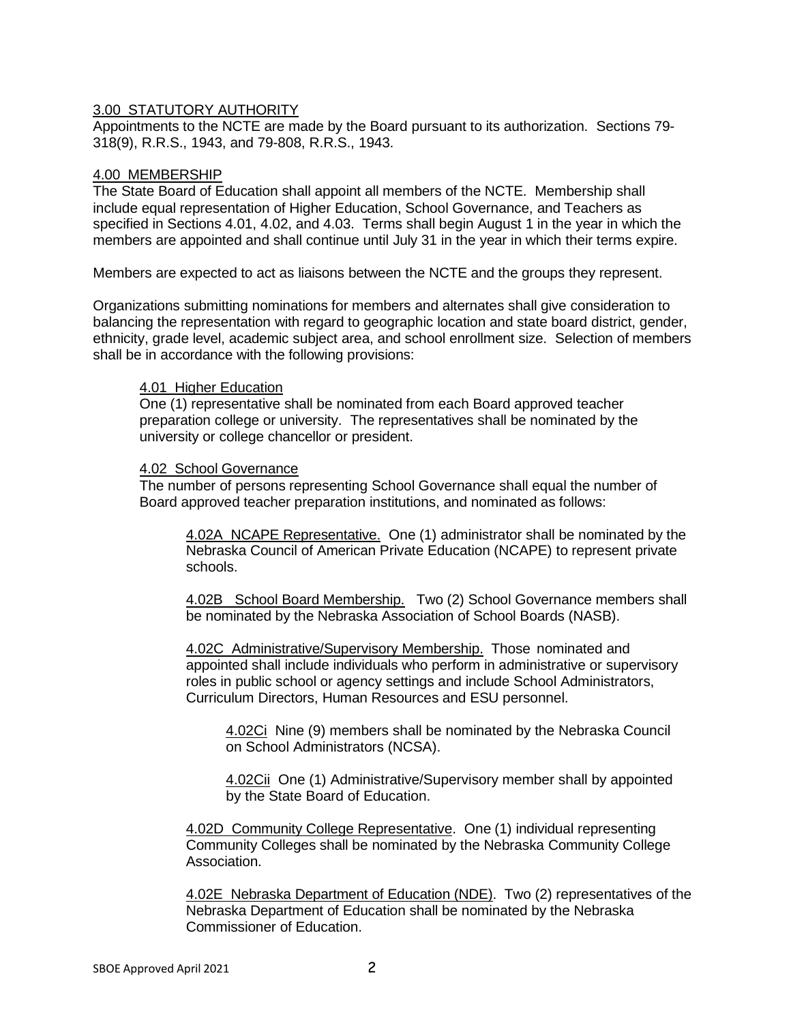### 3.00 STATUTORY AUTHORITY

Appointments to the NCTE are made by the Board pursuant to its authorization. Sections 79- 318(9), R.R.S., 1943, and 79-808, R.R.S., 1943.

### 4.00 MEMBERSHIP

The State Board of Education shall appoint all members of the NCTE. Membership shall include equal representation of Higher Education, School Governance, and Teachers as specified in Sections 4.01, 4.02, and 4.03. Terms shall begin August 1 in the year in which the members are appointed and shall continue until July 31 in the year in which their terms expire.

Members are expected to act as liaisons between the NCTE and the groups they represent.

Organizations submitting nominations for members and alternates shall give consideration to balancing the representation with regard to geographic location and state board district, gender, ethnicity, grade level, academic subject area, and school enrollment size. Selection of members shall be in accordance with the following provisions:

### 4.01 Higher Education

One (1) representative shall be nominated from each Board approved teacher preparation college or university. The representatives shall be nominated by the university or college chancellor or president.

#### 4.02 School Governance

The number of persons representing School Governance shall equal the number of Board approved teacher preparation institutions, and nominated as follows:

4.02A NCAPE Representative. One (1) administrator shall be nominated by the Nebraska Council of American Private Education (NCAPE) to represent private schools.

4.02B School Board Membership. Two (2) School Governance members shall be nominated by the Nebraska Association of School Boards (NASB).

4.02C Administrative/Supervisory Membership. Those nominated and appointed shall include individuals who perform in administrative or supervisory roles in public school or agency settings and include School Administrators, Curriculum Directors, Human Resources and ESU personnel.

4.02Ci Nine (9) members shall be nominated by the Nebraska Council on School Administrators (NCSA).

4.02Cii One (1) Administrative/Supervisory member shall by appointed by the State Board of Education.

4.02D Community College Representative. One (1) individual representing Community Colleges shall be nominated by the Nebraska Community College Association.

4.02E Nebraska Department of Education (NDE). Two (2) representatives of the Nebraska Department of Education shall be nominated by the Nebraska Commissioner of Education.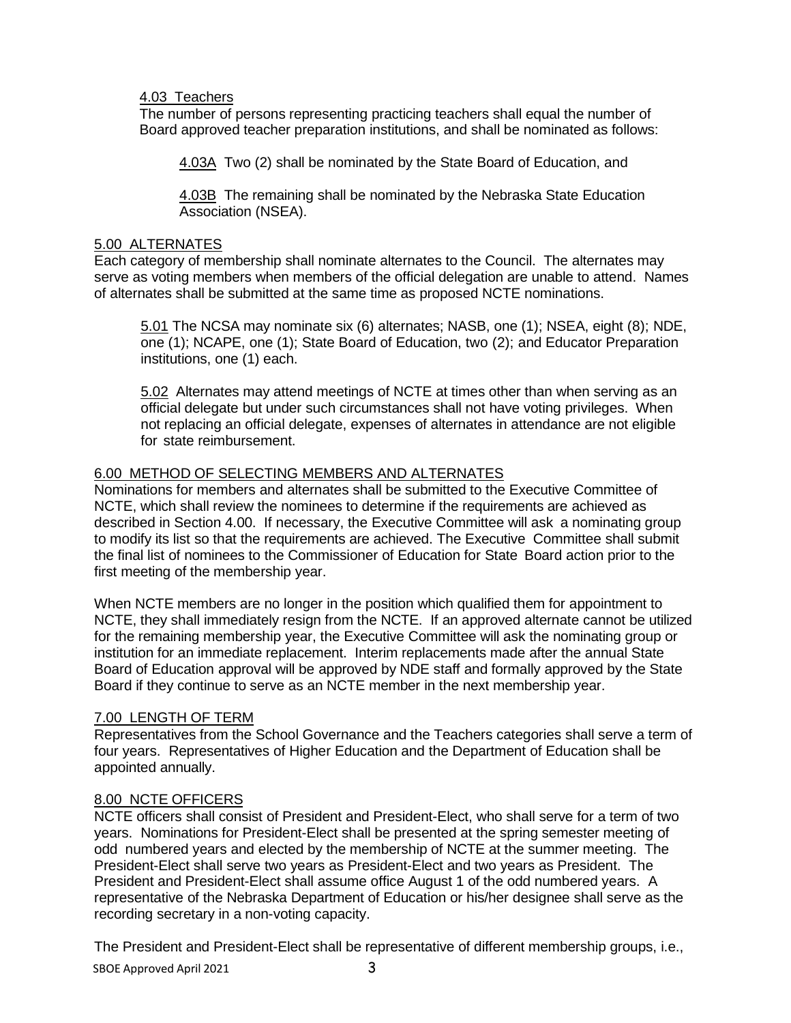### 4.03 Teachers

The number of persons representing practicing teachers shall equal the number of Board approved teacher preparation institutions, and shall be nominated as follows:

4.03A Two (2) shall be nominated by the State Board of Education, and

4.03B The remaining shall be nominated by the Nebraska State Education Association (NSEA).

### 5.00 ALTERNATES

Each category of membership shall nominate alternates to the Council. The alternates may serve as voting members when members of the official delegation are unable to attend. Names of alternates shall be submitted at the same time as proposed NCTE nominations.

5.01 The NCSA may nominate six (6) alternates; NASB, one (1); NSEA, eight (8); NDE, one (1); NCAPE, one (1); State Board of Education, two (2); and Educator Preparation institutions, one (1) each.

5.02 Alternates may attend meetings of NCTE at times other than when serving as an official delegate but under such circumstances shall not have voting privileges. When not replacing an official delegate, expenses of alternates in attendance are not eligible for state reimbursement.

# 6.00 METHOD OF SELECTING MEMBERS AND ALTERNATES

Nominations for members and alternates shall be submitted to the Executive Committee of NCTE, which shall review the nominees to determine if the requirements are achieved as described in Section 4.00. If necessary, the Executive Committee will ask a nominating group to modify its list so that the requirements are achieved. The Executive Committee shall submit the final list of nominees to the Commissioner of Education for State Board action prior to the first meeting of the membership year.

When NCTE members are no longer in the position which qualified them for appointment to NCTE, they shall immediately resign from the NCTE. If an approved alternate cannot be utilized for the remaining membership year, the Executive Committee will ask the nominating group or institution for an immediate replacement. Interim replacements made after the annual State Board of Education approval will be approved by NDE staff and formally approved by the State Board if they continue to serve as an NCTE member in the next membership year.

### 7.00 LENGTH OF TERM

Representatives from the School Governance and the Teachers categories shall serve a term of four years. Representatives of Higher Education and the Department of Education shall be appointed annually.

# 8.00 NCTE OFFICERS

NCTE officers shall consist of President and President-Elect, who shall serve for a term of two years. Nominations for President-Elect shall be presented at the spring semester meeting of odd numbered years and elected by the membership of NCTE at the summer meeting. The President-Elect shall serve two years as President-Elect and two years as President. The President and President-Elect shall assume office August 1 of the odd numbered years. A representative of the Nebraska Department of Education or his/her designee shall serve as the recording secretary in a non-voting capacity.

The President and President-Elect shall be representative of different membership groups, i.e.,

SBOE Approved April 2021 3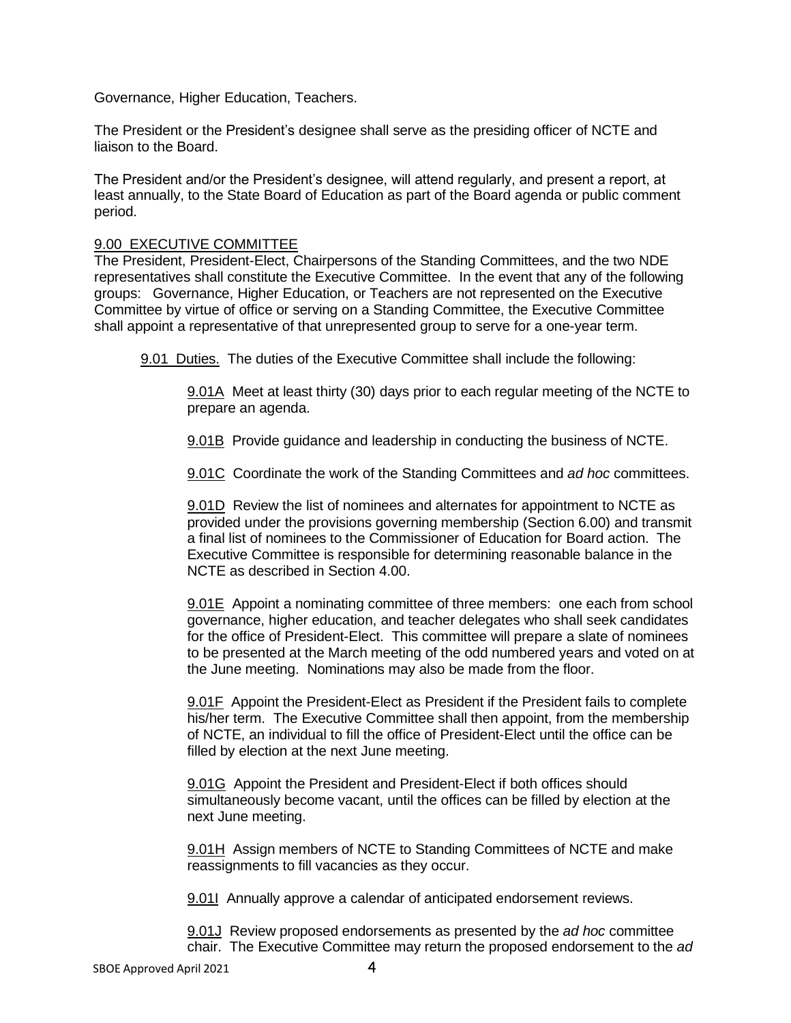Governance, Higher Education, Teachers.

The President or the President's designee shall serve as the presiding officer of NCTE and liaison to the Board.

The President and/or the President's designee, will attend regularly, and present a report, at least annually, to the State Board of Education as part of the Board agenda or public comment period.

### 9.00 EXECUTIVE COMMITTEE

The President, President-Elect, Chairpersons of the Standing Committees, and the two NDE representatives shall constitute the Executive Committee. In the event that any of the following groups: Governance, Higher Education, or Teachers are not represented on the Executive Committee by virtue of office or serving on a Standing Committee, the Executive Committee shall appoint a representative of that unrepresented group to serve for a one-year term.

9.01 Duties. The duties of the Executive Committee shall include the following:

9.01A Meet at least thirty (30) days prior to each regular meeting of the NCTE to prepare an agenda.

9.01B Provide guidance and leadership in conducting the business of NCTE.

9.01C Coordinate the work of the Standing Committees and *ad hoc* committees.

9.01D Review the list of nominees and alternates for appointment to NCTE as provided under the provisions governing membership (Section 6.00) and transmit a final list of nominees to the Commissioner of Education for Board action. The Executive Committee is responsible for determining reasonable balance in the NCTE as described in Section 4.00.

9.01E Appoint a nominating committee of three members: one each from school governance, higher education, and teacher delegates who shall seek candidates for the office of President-Elect. This committee will prepare a slate of nominees to be presented at the March meeting of the odd numbered years and voted on at the June meeting. Nominations may also be made from the floor.

9.01F Appoint the President-Elect as President if the President fails to complete his/her term. The Executive Committee shall then appoint, from the membership of NCTE, an individual to fill the office of President-Elect until the office can be filled by election at the next June meeting.

9.01G Appoint the President and President-Elect if both offices should simultaneously become vacant, until the offices can be filled by election at the next June meeting.

9.01H Assign members of NCTE to Standing Committees of NCTE and make reassignments to fill vacancies as they occur.

9.01I Annually approve a calendar of anticipated endorsement reviews.

9.01J Review proposed endorsements as presented by the *ad hoc* committee chair. The Executive Committee may return the proposed endorsement to the *ad*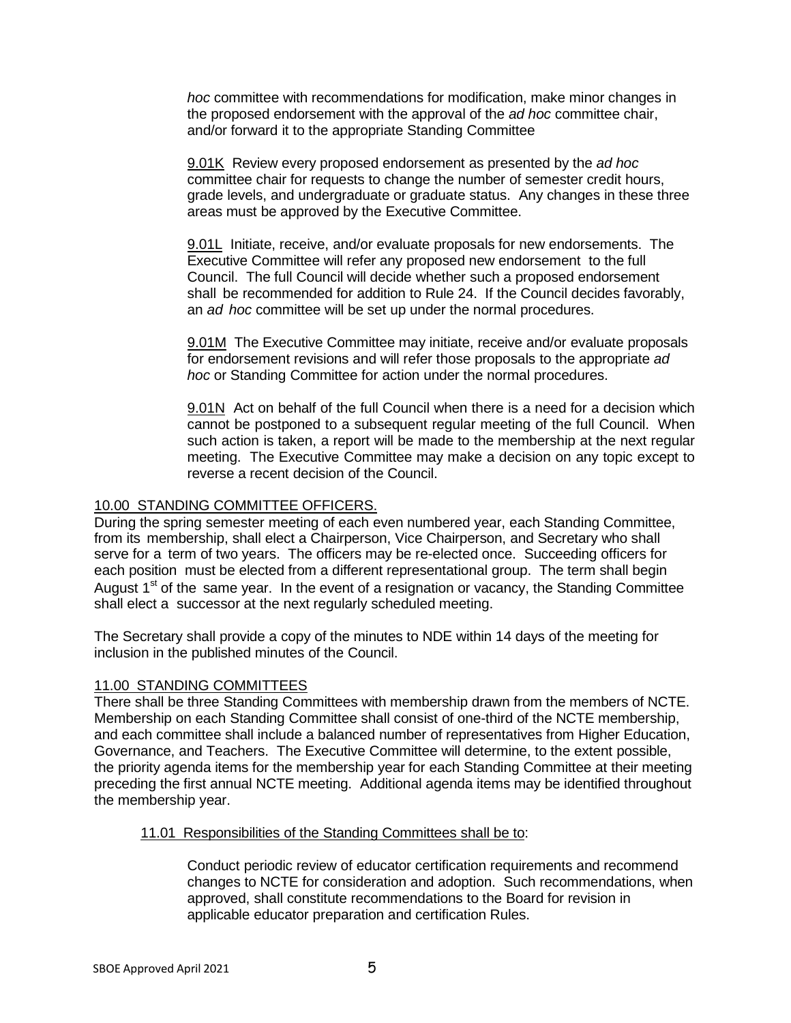*hoc* committee with recommendations for modification, make minor changes in the proposed endorsement with the approval of the *ad hoc* committee chair, and/or forward it to the appropriate Standing Committee

9.01K Review every proposed endorsement as presented by the *ad hoc* committee chair for requests to change the number of semester credit hours, grade levels, and undergraduate or graduate status. Any changes in these three areas must be approved by the Executive Committee.

9.01L Initiate, receive, and/or evaluate proposals for new endorsements. The Executive Committee will refer any proposed new endorsement to the full Council. The full Council will decide whether such a proposed endorsement shall be recommended for addition to Rule 24. If the Council decides favorably, an *ad hoc* committee will be set up under the normal procedures.

9.01M The Executive Committee may initiate, receive and/or evaluate proposals for endorsement revisions and will refer those proposals to the appropriate *ad hoc* or Standing Committee for action under the normal procedures.

9.01N Act on behalf of the full Council when there is a need for a decision which cannot be postponed to a subsequent regular meeting of the full Council. When such action is taken, a report will be made to the membership at the next regular meeting. The Executive Committee may make a decision on any topic except to reverse a recent decision of the Council.

### 10.00 STANDING COMMITTEE OFFICERS.

During the spring semester meeting of each even numbered year, each Standing Committee, from its membership, shall elect a Chairperson, Vice Chairperson, and Secretary who shall serve for a term of two years. The officers may be re-elected once. Succeeding officers for each position must be elected from a different representational group. The term shall begin August 1<sup>st</sup> of the same year. In the event of a resignation or vacancy, the Standing Committee shall elect a successor at the next regularly scheduled meeting.

The Secretary shall provide a copy of the minutes to NDE within 14 days of the meeting for inclusion in the published minutes of the Council.

### 11.00 STANDING COMMITTEES

There shall be three Standing Committees with membership drawn from the members of NCTE. Membership on each Standing Committee shall consist of one-third of the NCTE membership, and each committee shall include a balanced number of representatives from Higher Education, Governance, and Teachers. The Executive Committee will determine, to the extent possible, the priority agenda items for the membership year for each Standing Committee at their meeting preceding the first annual NCTE meeting. Additional agenda items may be identified throughout the membership year.

### 11.01 Responsibilities of the Standing Committees shall be to:

Conduct periodic review of educator certification requirements and recommend changes to NCTE for consideration and adoption. Such recommendations, when approved, shall constitute recommendations to the Board for revision in applicable educator preparation and certification Rules.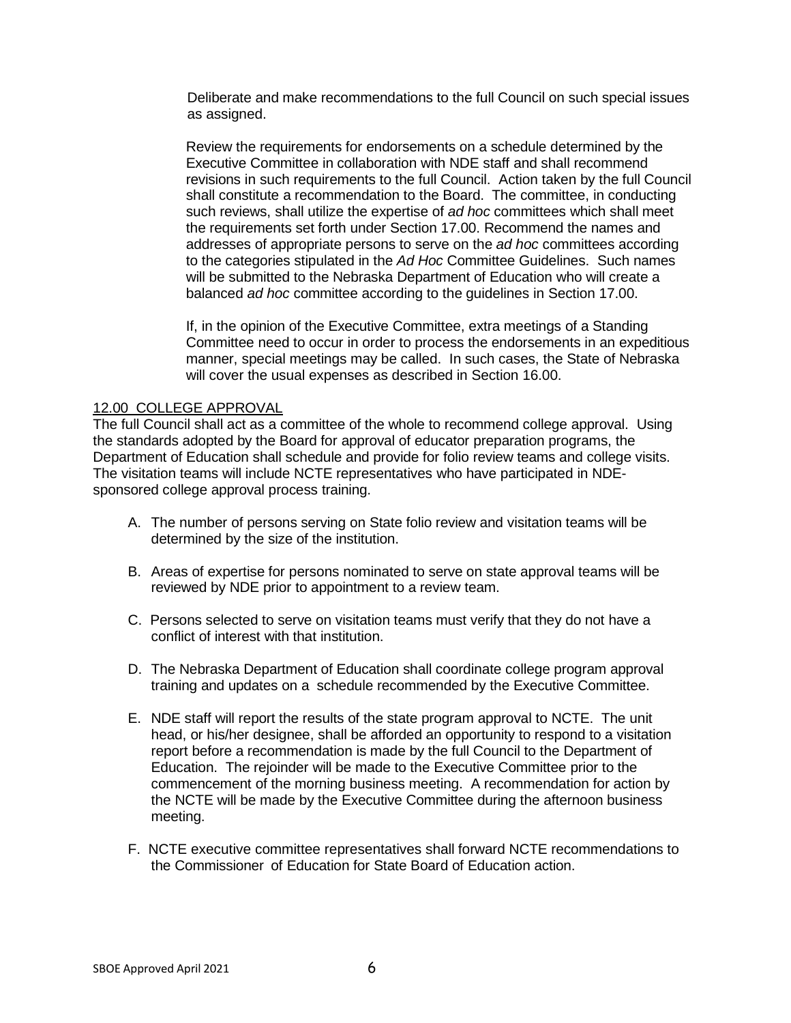Deliberate and make recommendations to the full Council on such special issues as assigned.

Review the requirements for endorsements on a schedule determined by the Executive Committee in collaboration with NDE staff and shall recommend revisions in such requirements to the full Council. Action taken by the full Council shall constitute a recommendation to the Board. The committee, in conducting such reviews, shall utilize the expertise of *ad hoc* committees which shall meet the requirements set forth under Section 17.00. Recommend the names and addresses of appropriate persons to serve on the *ad hoc* committees according to the categories stipulated in the *Ad Hoc* Committee Guidelines. Such names will be submitted to the Nebraska Department of Education who will create a balanced *ad hoc* committee according to the guidelines in Section 17.00.

If, in the opinion of the Executive Committee, extra meetings of a Standing Committee need to occur in order to process the endorsements in an expeditious manner, special meetings may be called. In such cases, the State of Nebraska will cover the usual expenses as described in Section 16.00.

#### 12.00 COLLEGE APPROVAL

The full Council shall act as a committee of the whole to recommend college approval. Using the standards adopted by the Board for approval of educator preparation programs, the Department of Education shall schedule and provide for folio review teams and college visits. The visitation teams will include NCTE representatives who have participated in NDEsponsored college approval process training.

- A. The number of persons serving on State folio review and visitation teams will be determined by the size of the institution.
- B. Areas of expertise for persons nominated to serve on state approval teams will be reviewed by NDE prior to appointment to a review team.
- C. Persons selected to serve on visitation teams must verify that they do not have a conflict of interest with that institution.
- D. The Nebraska Department of Education shall coordinate college program approval training and updates on a schedule recommended by the Executive Committee.
- E. NDE staff will report the results of the state program approval to NCTE. The unit head, or his/her designee, shall be afforded an opportunity to respond to a visitation report before a recommendation is made by the full Council to the Department of Education. The rejoinder will be made to the Executive Committee prior to the commencement of the morning business meeting. A recommendation for action by the NCTE will be made by the Executive Committee during the afternoon business meeting.
- F. NCTE executive committee representatives shall forward NCTE recommendations to the Commissioner of Education for State Board of Education action.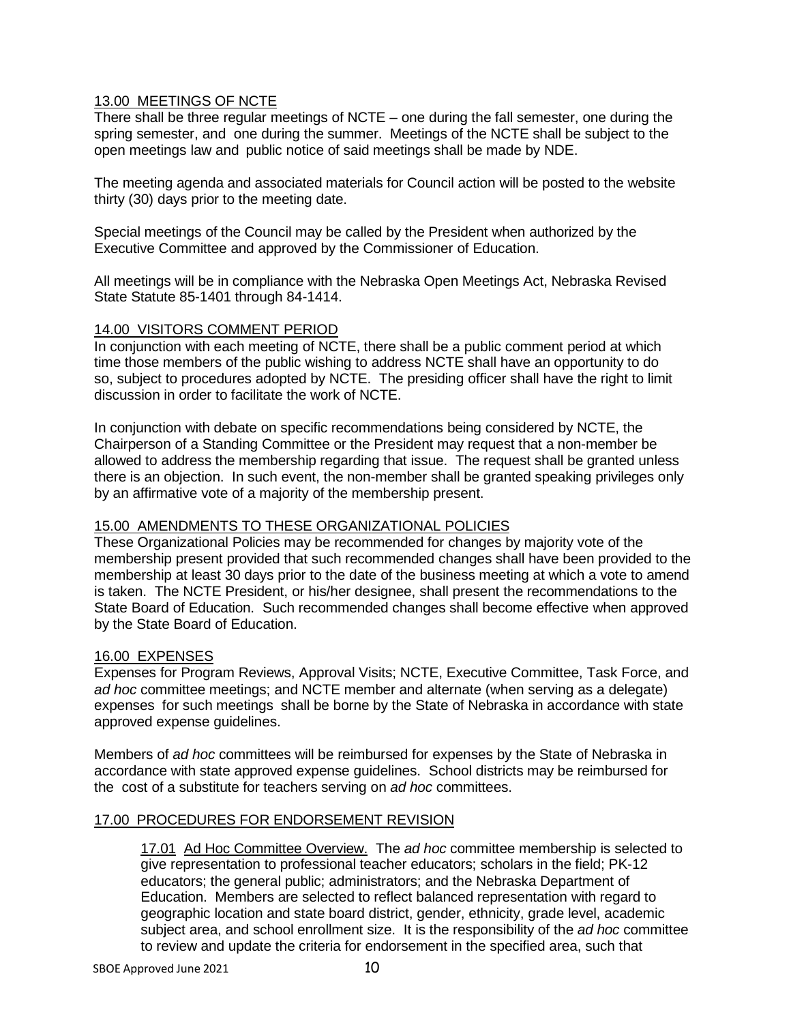# 13.00 MEETINGS OF NCTE

There shall be three regular meetings of NCTE – one during the fall semester, one during the spring semester, and one during the summer. Meetings of the NCTE shall be subject to the open meetings law and public notice of said meetings shall be made by NDE.

The meeting agenda and associated materials for Council action will be posted to the website thirty (30) days prior to the meeting date.

Special meetings of the Council may be called by the President when authorized by the Executive Committee and approved by the Commissioner of Education.

All meetings will be in compliance with the Nebraska Open Meetings Act, Nebraska Revised State Statute 85-1401 through 84-1414.

### 14.00 VISITORS COMMENT PERIOD

In conjunction with each meeting of NCTE, there shall be a public comment period at which time those members of the public wishing to address NCTE shall have an opportunity to do so, subject to procedures adopted by NCTE. The presiding officer shall have the right to limit discussion in order to facilitate the work of NCTE.

In conjunction with debate on specific recommendations being considered by NCTE, the Chairperson of a Standing Committee or the President may request that a non-member be allowed to address the membership regarding that issue. The request shall be granted unless there is an objection. In such event, the non-member shall be granted speaking privileges only by an affirmative vote of a majority of the membership present.

# 15.00 AMENDMENTS TO THESE ORGANIZATIONAL POLICIES

These Organizational Policies may be recommended for changes by majority vote of the membership present provided that such recommended changes shall have been provided to the membership at least 30 days prior to the date of the business meeting at which a vote to amend is taken. The NCTE President, or his/her designee, shall present the recommendations to the State Board of Education. Such recommended changes shall become effective when approved by the State Board of Education.

# 16.00 EXPENSES

Expenses for Program Reviews, Approval Visits; NCTE, Executive Committee, Task Force, and *ad hoc* committee meetings; and NCTE member and alternate (when serving as a delegate) expenses for such meetings shall be borne by the State of Nebraska in accordance with state approved expense guidelines.

Members of *ad hoc* committees will be reimbursed for expenses by the State of Nebraska in accordance with state approved expense guidelines. School districts may be reimbursed for the cost of a substitute for teachers serving on *ad hoc* committees.

# 17.00 PROCEDURES FOR ENDORSEMENT REVISION

17.01 Ad Hoc Committee Overview. The *ad hoc* committee membership is selected to give representation to professional teacher educators; scholars in the field; PK-12 educators; the general public; administrators; and the Nebraska Department of Education. Members are selected to reflect balanced representation with regard to geographic location and state board district, gender, ethnicity, grade level, academic subject area, and school enrollment size. It is the responsibility of the *ad hoc* committee to review and update the criteria for endorsement in the specified area, such that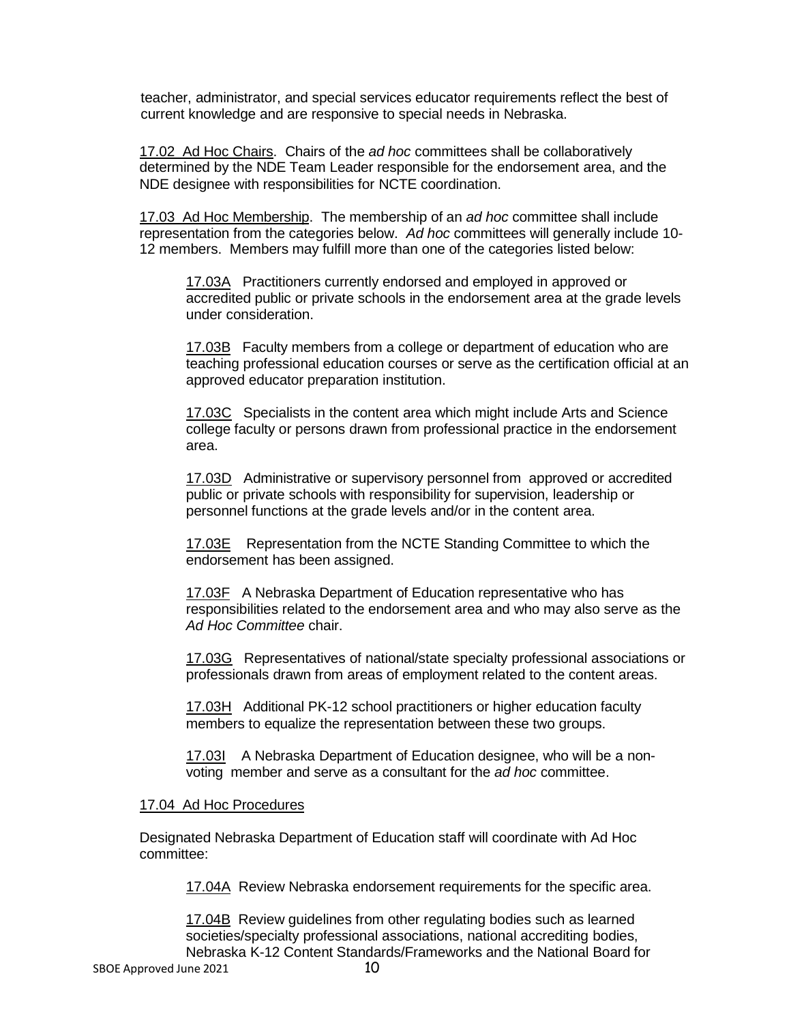teacher, administrator, and special services educator requirements reflect the best of current knowledge and are responsive to special needs in Nebraska.

17.02 Ad Hoc Chairs. Chairs of the *ad hoc* committees shall be collaboratively determined by the NDE Team Leader responsible for the endorsement area, and the NDE designee with responsibilities for NCTE coordination.

17.03 Ad Hoc Membership. The membership of an *ad hoc* committee shall include representation from the categories below. *Ad hoc* committees will generally include 10- 12 members. Members may fulfill more than one of the categories listed below:

17.03A Practitioners currently endorsed and employed in approved or accredited public or private schools in the endorsement area at the grade levels under consideration.

17.03B Faculty members from a college or department of education who are teaching professional education courses or serve as the certification official at an approved educator preparation institution.

17.03C Specialists in the content area which might include Arts and Science college faculty or persons drawn from professional practice in the endorsement area.

17.03D Administrative or supervisory personnel from approved or accredited public or private schools with responsibility for supervision, leadership or personnel functions at the grade levels and/or in the content area.

17.03E Representation from the NCTE Standing Committee to which the endorsement has been assigned.

17.03F A Nebraska Department of Education representative who has responsibilities related to the endorsement area and who may also serve as the *Ad Hoc Committee* chair.

17.03G Representatives of national/state specialty professional associations or professionals drawn from areas of employment related to the content areas.

17.03H Additional PK-12 school practitioners or higher education faculty members to equalize the representation between these two groups.

17.03I A Nebraska Department of Education designee, who will be a nonvoting member and serve as a consultant for the *ad hoc* committee.

### 17.04 Ad Hoc Procedures

Designated Nebraska Department of Education staff will coordinate with Ad Hoc committee:

17.04A Review Nebraska endorsement requirements for the specific area.

17.04B Review guidelines from other regulating bodies such as learned societies/specialty professional associations, national accrediting bodies, Nebraska K-12 Content Standards/Frameworks and the National Board for